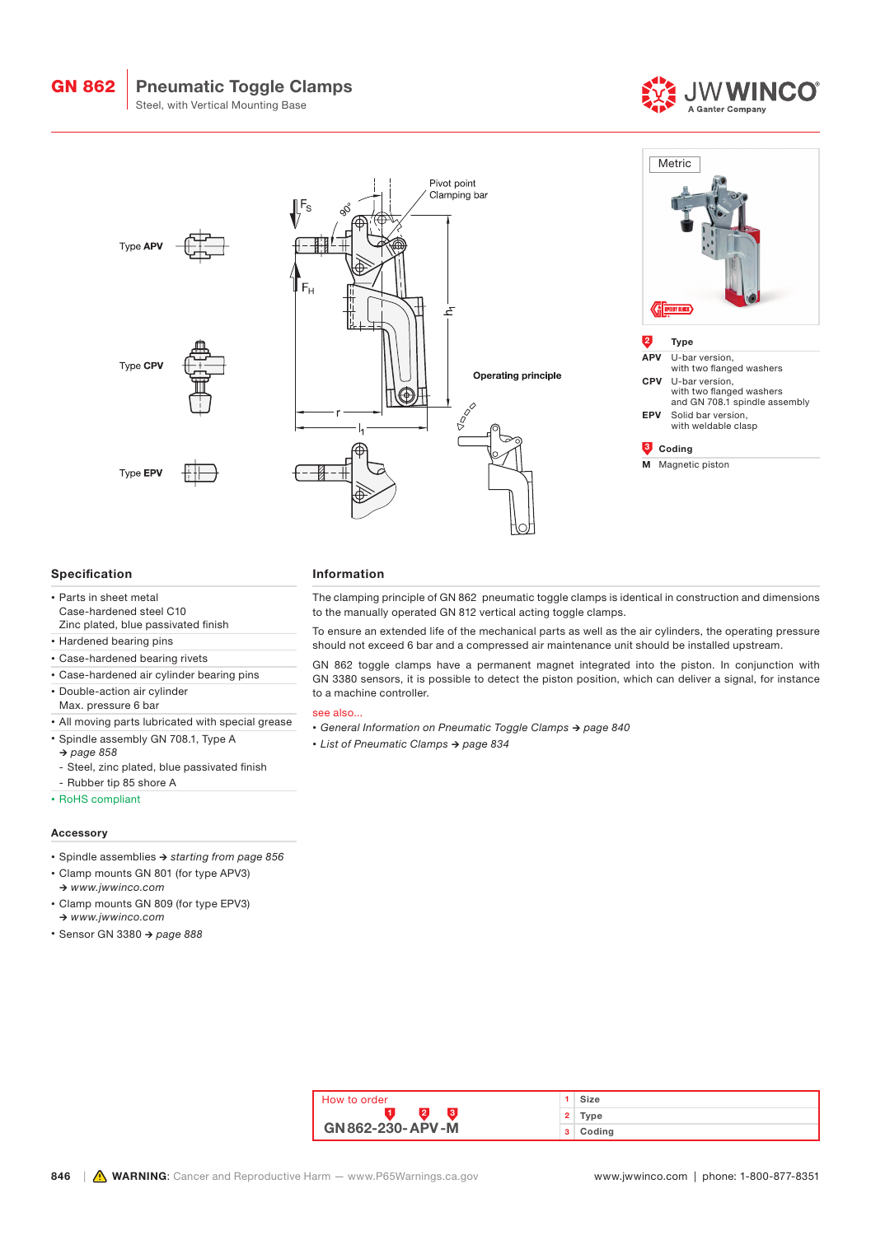GN 862

# Pneumatic Toggle Clamps

Steel, with Vertical Mounting Base





# Specification

- Parts in sheet metal Case-hardened steel C10 Zinc plated, blue passivated finish
- Hardened bearing pins
- Case-hardened bearing rivets
- Case-hardened air cylinder bearing pins
- Double-action air cylinder
- Max. pressure 6 bar
- All moving parts lubricated with special grease
- Spindle assembly GN 708.1, Type A
- *→ page 858*
- Steel, zinc plated, blue passivated finish
- Rubber tip 85 shore A
- RoHS compliant

# Accessory

- Spindle assemblies *→ starting from page 856*
- Clamp mounts GN 801 (for type APV3) *→ www.jwwinco.com*
- Clamp mounts GN 809 (for type EPV3) *→ www.jwwinco.com*
- Sensor GN 3380 *→ page 888*

#### Information

The clamping principle of GN 862 pneumatic toggle clamps is identical in construction and dimensions to the manually operated GN 812 vertical acting toggle clamps.

To ensure an extended life of the mechanical parts as well as the air cylinders, the operating pressure should not exceed 6 bar and a compressed air maintenance unit should be installed upstream.

GN 862 toggle clamps have a permanent magnet integrated into the piston. In conjunction with GN 3380 sensors, it is possible to detect the piston position, which can deliver a signal, for instance to a machine controller.

# see also...

- *• General Information on Pneumatic Toggle Clamps → page 840*
- *• List of Pneumatic Clamps → page 834*

| How to order     |    | Size   |
|------------------|----|--------|
|                  | 2. | Type   |
| GN 862-230-APV-M | з. | Coding |